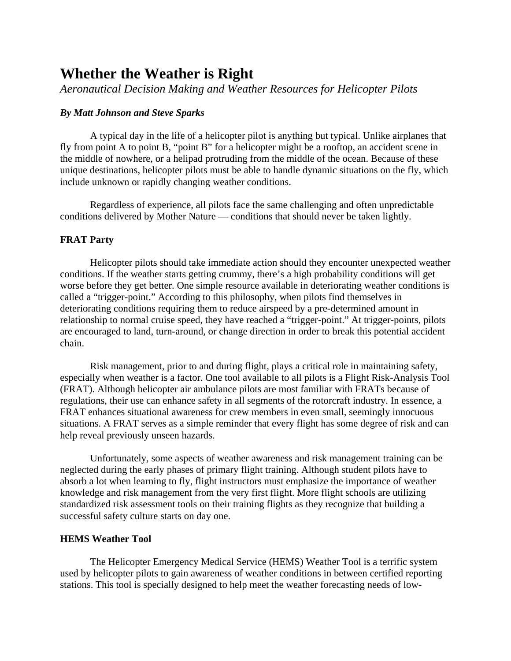# **Whether the Weather is Right**

*Aeronautical Decision Making and Weather Resources for Helicopter Pilots* 

## *By Matt Johnson and Steve Sparks*

A typical day in the life of a helicopter pilot is anything but typical. Unlike airplanes that fly from point A to point B, "point B" for a helicopter might be a rooftop, an accident scene in the middle of nowhere, or a helipad protruding from the middle of the ocean. Because of these unique destinations, helicopter pilots must be able to handle dynamic situations on the fly, which include unknown or rapidly changing weather conditions.

Regardless of experience, all pilots face the same challenging and often unpredictable conditions delivered by Mother Nature — conditions that should never be taken lightly.

#### **FRAT Party**

Helicopter pilots should take immediate action should they encounter unexpected weather conditions. If the weather starts getting crummy, there's a high probability conditions will get worse before they get better. One simple resource available in deteriorating weather conditions is called a "trigger-point." According to this philosophy, when pilots find themselves in deteriorating conditions requiring them to reduce airspeed by a pre-determined amount in relationship to normal cruise speed, they have reached a "trigger-point." At trigger-points, pilots are encouraged to land, turn-around, or change direction in order to break this potential accident chain.

Risk management, prior to and during flight, plays a critical role in maintaining safety, especially when weather is a factor. One tool available to all pilots is a Flight Risk-Analysis Tool (FRAT). Although helicopter air ambulance pilots are most familiar with FRATs because of regulations, their use can enhance safety in all segments of the rotorcraft industry. In essence, a FRAT enhances situational awareness for crew members in even small, seemingly innocuous situations. A FRAT serves as a simple reminder that every flight has some degree of risk and can help reveal previously unseen hazards.

Unfortunately, some aspects of weather awareness and risk management training can be neglected during the early phases of primary flight training. Although student pilots have to absorb a lot when learning to fly, flight instructors must emphasize the importance of weather knowledge and risk management from the very first flight. More flight schools are utilizing standardized risk assessment tools on their training flights as they recognize that building a successful safety culture starts on day one.

### **HEMS Weather Tool**

The Helicopter Emergency Medical Service (HEMS) Weather Tool is a terrific system used by helicopter pilots to gain awareness of weather conditions in between certified reporting stations. This tool is specially designed to help meet the weather forecasting needs of low